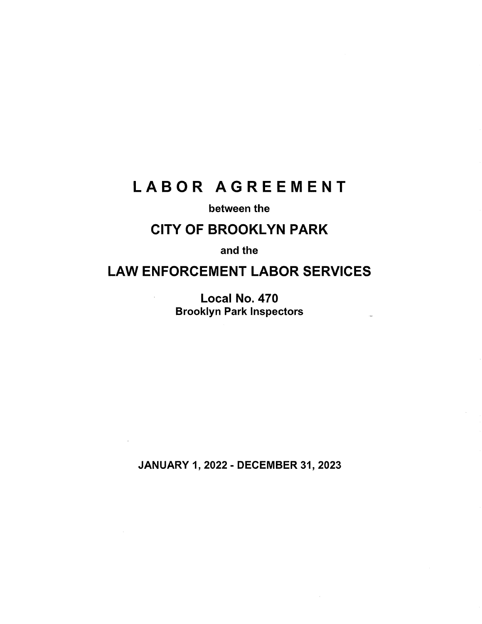# LABOR AGREEMENT

# between the

# **CITY OF BROOKLYN PARK**

and the

# **LAW ENFORCEMENT LABOR SERVICES**

Local No. 470 Brooklyn Park Inspectors

 $\sim$ 

JANUARY 1, 2022 - DECEMBER 31, 2023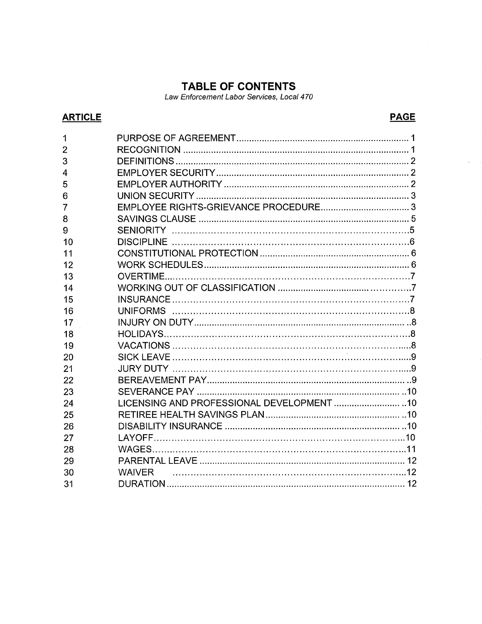# **TABLE OF CONTENTS**

Law Enforcement Labor Services, Local 470

# **ARTICLE**

# **PAGE**

 $\bar{z}$ 

| 1              |                                            |
|----------------|--------------------------------------------|
| $\overline{2}$ |                                            |
| 3              |                                            |
| 4              |                                            |
| 5              |                                            |
| 6              |                                            |
| 7              |                                            |
| 8              |                                            |
| 9              |                                            |
| 10             |                                            |
| 11             |                                            |
| 12             |                                            |
| 13             |                                            |
| 14             |                                            |
| 15             |                                            |
| 16             |                                            |
| 17             |                                            |
| 18             |                                            |
| 19             |                                            |
| 20             |                                            |
| 21             |                                            |
| 22             |                                            |
| 23             |                                            |
| 24             | LICENSING AND PROFESSIONAL DEVELOPMENT  10 |
| 25             |                                            |
| 26             |                                            |
| 27             |                                            |
| 28             |                                            |
| 29             |                                            |
| 30             | <b>WAIVER</b>                              |
| 31             |                                            |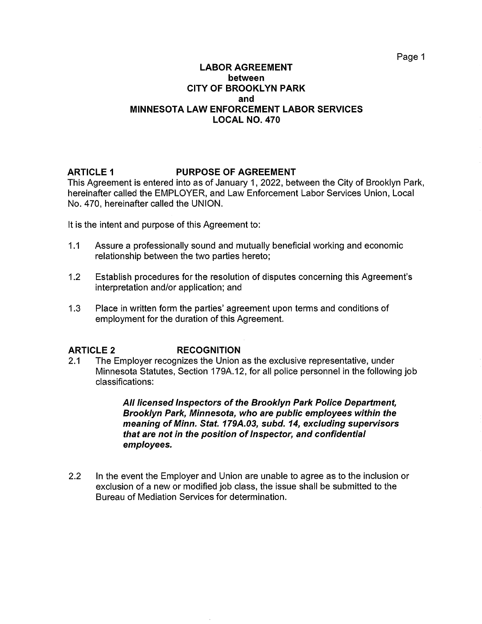#### **LABOR AGREEMENT between CITY OF BROOKLYN PARK and MINNESOTA LAW ENFORCEMENT LABOR SERVICES LOCAL NO. 470**

#### **ARTICLE 1 PURPOSE OF AGREEMENT**

This Agreement is entered into as of January 1, 2022, between the City of Brooklyn Park, hereinafter called the EMPLOYER, and Law Enforcement Labor Services Union, Local No. 470, hereinafter called the UNION.

It is the intent and purpose of this Agreement to:

- 1.1 Assure a professionally sound and mutually beneficial working and economic relationship between the two parties hereto;
- 1.2 Establish procedures for the resolution of disputes concerning this Agreement's interpretation and/or application; and
- 1.3 Place in written form the parties' agreement upon terms and conditions of employment for the duration of this Agreement.

# **ARTICLE 2 RECOGNITION**

2.1 The Employer recognizes the Union as the exclusive representative, under Minnesota Statutes, Section 179A.12, for all police personnel in the following job classifications:

> **All licensed Inspectors of the Brooklyn Park Police Department, Brooklyn Park, Minnesota, who are public employees within the meaning of Minn. Stat. 179A.03, subd. 14, excluding supervisors that are not in the position of Inspector, and confidential employees.**

2.2 In the event the Employer and Union are unable to agree as to the inclusion or exclusion of a new or modified job class, the issue shall be submitted to the Bureau of Mediation Services for determination.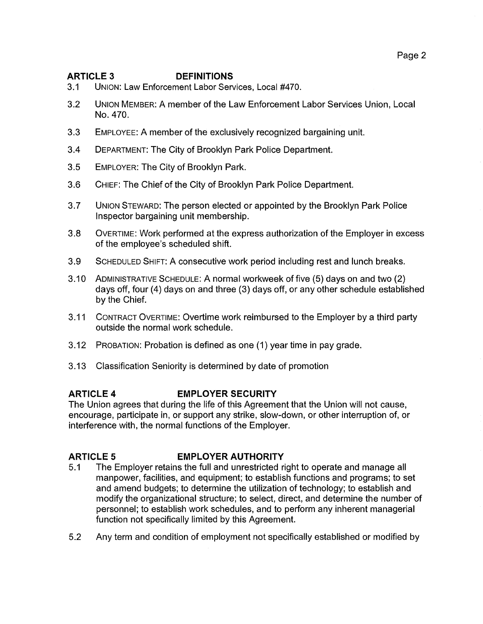# **ARTICLE 3 DEFINITIONS**

- 3.1 UNION: Law Enforcement Labor Services, Local #470.
- 3.2 UNION MEMBER: A member of the Law Enforcement Labor Services Union, Local No. 470.
- 3.3 EMPLOYEE: A member of the exclusively recognized bargaining unit.
- 3.4 DEPARTMENT: The City of Brooklyn Park Police Department.
- 3.5 EMPLOYER: The City of Brooklyn Park.
- 3.6 CHIEF: The Chief of the City of Brooklyn Park Police Department.
- 3.7 UNION STEWARD: The person elected or appointed by the Brooklyn Park Police Inspector bargaining unit membership.
- 3.8 OVERTIME: Work performed at the express authorization of the Employer in excess of the employee's scheduled shift.
- 3.9 SCHEDULED SHIFT: A consecutive work period including rest and lunch breaks.
- 3.10 ADMINISTRATIVE SCHEDULE: A normal workweek of five (5) days on and two (2) days off, four (4) days on and three (3) days off, or any other schedule established by the Chief.
- 3.11 CONTRACT OVERTIME: Overtime work reimbursed to the Employer by a third party outside the normal work schedule.
- 3.12 PROBATION: Probation is defined as one (1) year time in pay grade.
- 3.13 Classification Seniority is determined by date of promotion

# **ARTICLE 4 EMPLOYER SECURITY**

The Union agrees that during the life of this Agreement that the Union will not cause, encourage, participate in, or support any strike, slow-down, or other interruption of, or interference with, the normal functions of the Employer.

# **ARTICLE 5 EMPLOYER AUTHORITY**

- 5.1 The Employer retains the full and unrestricted right to operate and manage all manpower, facilities, and equipment; to establish functions and programs; to set and amend budgets; to determine the utilization of technology; to establish and modify the organizational structure; to select, direct, and determine the number of personnel; to establish work schedules, and to perform any inherent managerial function not specifically limited by this Agreement.
- 5.2 Any term and condition of employment not specifically established or modified by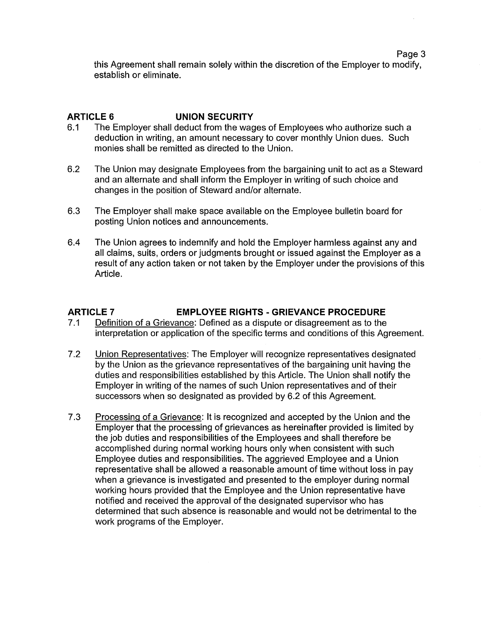this Agreement shall remain solely within the discretion of the Employer to modify, establish or eliminate.

### **ARTICLE 6 UNION SECURITY**

- 6.1 The Employer shall deduct from the wages of Employees who authorize such a deduction in writing, an amount necessary to cover monthly Union dues. Such monies shall be remitted as directed to the Union.
- 6.2 The Union may designate Employees from the bargaining unit to act as a Steward and an alternate and shall inform the Employer in writing of such choice and changes in the position of Steward and/or alternate.
- 6.3 The Employer shall make space available on the Employee bulletin board for posting Union notices and announcements.
- 6.4 The Union agrees to indemnify and hold the Employer harmless against any and all claims, suits, orders or judgments brought or issued against the Employer as a result of any action taken or not taken by the Employer under the provisions of this Article.

#### **ARTICLE 7 EMPLOYEE RIGHTS -GRIEVANCE PROCEDURE**

- 7 .1 Definition of a Grievance: Defined as a dispute or disagreement as to the interpretation or application of the specific terms and conditions of this Agreement.
- 7 .2 Union Representatives: The Employer will recognize representatives designated by the Union as the grievance representatives of the bargaining unit having the duties and responsibilities established by this Article. The Union shall notify the Employer in writing of the names of such Union representatives and of their successors when so designated as provided by 6.2 of this Agreement.
- 7.3 Processing of a Grievance: It is recognized and accepted by the Union and the Employer that the processing of grievances as hereinafter provided is limited by the job duties and responsibilities of the Employees and shall therefore be accomplished during normal working hours only when consistent with such Employee duties and responsibilities. The aggrieved Employee and a Union representative shall be allowed a reasonable amount of time without loss in pay when a grievance is investigated and presented to the employer during normal working hours provided that the Employee and the Union representative have notified and received the approval of the designated supervisor who has determined that such absence is reasonable and would not be detrimental to the work programs of the Employer.

Page 3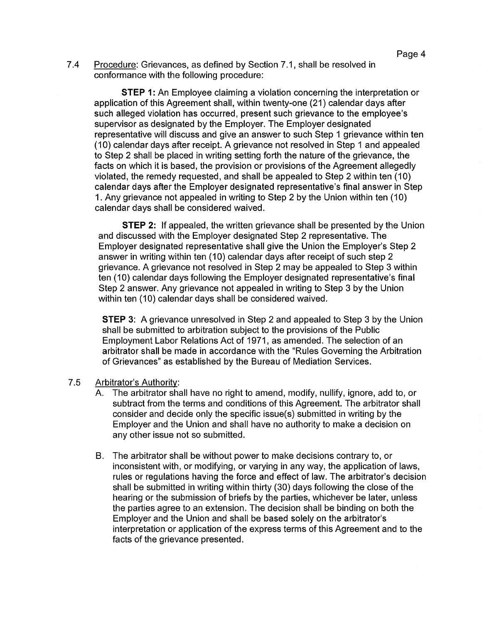7.4 Procedure: Grievances, as defined by Section 7 .1, shall be resolved in conformance with the following procedure:

**STEP 1:** An Employee claiming a violation concerning the interpretation or application of this Agreement shall, within twenty-one (21) calendar days after such alleged violation has occurred, present such grievance to the employee's supervisor as designated by the Employer. The Employer designated representative will discuss and give an answer to such Step 1 grievance within ten (10) calendar days after receipt. A grievance not resolved in Step 1 and appealed to Step 2 shall be placed in writing setting forth the nature of the grievance, the facts on which it is based, the provision or provisions of the Agreement allegedly violated, the remedy requested, and shall be appealed to Step 2 within ten (10) calendar days after the Employer designated representative's final answer in Step 1. Any grievance not appealed in writing to Step 2 by the Union within ten (10) calendar days shall be considered waived.

**STEP 2:** If appealed, the written grievance shall be presented by the Union and discussed with the Employer designated Step 2 representative. The Employer designated representative shall give the Union the Employer's Step 2 answer in writing within ten (10) calendar days after receipt of such step 2 grievance. A grievance not resolved in Step 2 may be appealed to Step 3 within ten (10) calendar days following the Employer designated representative's final Step 2 answer. Any grievance not appealed in writing to Step 3 by the Union within ten (10) calendar days shall be considered waived.

**STEP 3:** A grievance unresolved in Step 2 and appealed to Step 3 by the Union shall be submitted to arbitration subject to the provisions of the Public Employment Labor Relations Act of 1971, as amended. The selection of an arbitrator shall be made in accordance with the "Rules Governing the Arbitration of Grievances" as established by the Bureau of Mediation Services.

#### 7 .5 Arbitrator's Authority:

- A. The arbitrator shall have no right to amend, modify, nullify, ignore, add to, or subtract from the terms and conditions of this Agreement. The arbitrator shall consider and decide only the specific issue(s) submitted in writing by the Employer and the Union and shall have no authority to make a decision on any other issue not so submitted.
- B. The arbitrator shall be without power to make decisions contrary to, or inconsistent with, or modifying, or varying in any way, the application of laws, rules or regulations having the force and effect of law. The arbitrator's decision shall be submitted in writing within thirty (30) days following the close of the hearing or the submission of briefs by the parties, whichever be later, unless the parties agree to an extension. The decision shall be binding on both the Employer and the Union and shall be based solely on the arbitrator's interpretation or application of the express terms of this Agreement and to the facts of the grievance presented.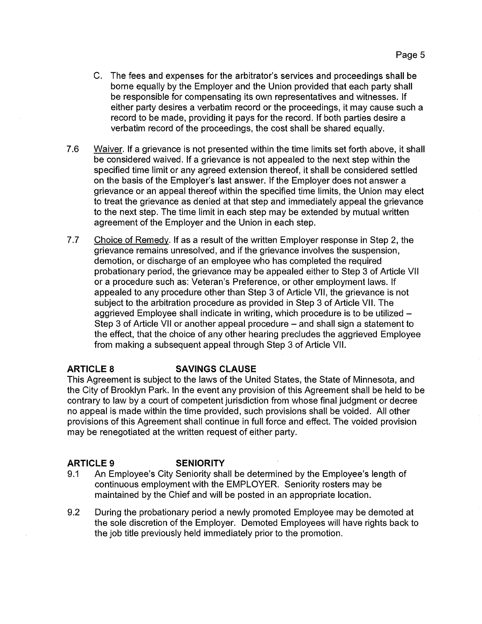- C. The fees and expenses for the arbitrator's services and proceedings shall be borne equally by the Employer and the Union provided that each party shall be responsible for compensating its own representatives and witnesses. If either party desires a verbatim record or the proceedings, it may cause such a record to be made, providing it pays for the record. If both parties desire a verbatim record of the proceedings, the cost shall be shared equally.
- 7.6 Waiver. If a grievance is not presented within the time limits set forth above, it shall be considered waived. If a grievance is not appealed to the next step within the specified time limit or any agreed extension thereof, it shall be considered settled on the basis of the Employer's last answer. If the Employer does not answer a grievance or an appeal thereof within the specified time limits, the Union may elect to treat the grievance as denied at that step and immediately appeal the grievance to the next step. The time limit in each step may be extended by mutual written agreement of the Employer and the Union in each step.
- 7.7 Choice of Remedy. If as a result of the written Employer response in Step 2, the grievance remains unresolved, and if the grievance involves the suspension, demotion, or discharge of an employee who has completed the required probationary period, the grievance may be appealed either to Step 3 of Article VII or a procedure such as: Veteran's Preference, or other employment laws. If appealed to any procedure other than Step 3 of Article VII, the grievance is not subject to the arbitration procedure as provided in Step 3 of Article VII. The aggrieved Employee shall indicate in writing, which procedure is to be utilized -Step 3 of Article VII or another appeal procedure – and shall sign a statement to the effect, that the choice of any other hearing precludes the aggrieved Employee from making a subsequent appeal through Step 3 of Article VII.

# **ARTICLE 8 SAVINGS CLAUSE**

This Agreement is subject to the laws of the United States, the State of Minnesota, and the City of Brooklyn Park. In the event any provision of this Agreement shall be held to be contrary to law by a court of competent jurisdiction from whose final judgment or decree no appeal is made within the time provided, such provisions shall be voided. All other provisions of this Agreement shall continue in full force and effect. The voided provision may be renegotiated at the written request of either party.

# **ARTICLE 9 SENIORITY**

- 9.1 An Employee's City Seniority shall be determined by the Employee's length of continuous employment with the EMPLOYER. Seniority rosters may be maintained by the Chief and will be posted in an appropriate location.
- 9.2 During the probationary period a newly promoted Employee may be demoted at the sole discretion of the Employer. Demoted Employees will have rights back to the job title previously held immediately prior to the promotion.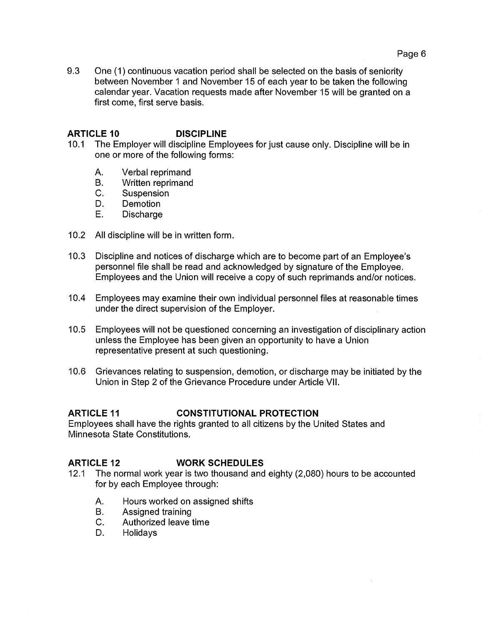9.3 One (1) continuous vacation period shall be selected on the basis of seniority between November 1 and November 15 of each year to be taken the following calendar year. Vacation requests made after November 15 will be granted on a first come, first serve basis.

# **ARTICLE 10 DISCIPLINE**

- 10.1 The Employer will discipline Employees for just cause only. Discipline will be in one or more of the following forms:
	- A. Verbal reprimand
	- B. Written reprimand
	- C. Suspension
	- D. Demotion
	- E. Discharge
- 10.2 All discipline will be in written form.
- 10.3 Discipline and notices of discharge which are to become part of an Employee's personnel file shall be read and acknowledged by signature of the Employee. Employees and the Union will receive a copy of such reprimands and/or notices.
- 10.4 Employees may examine their own individual personnel files at reasonable times under the direct supervision of the Employer.
- 10.5 Employees will not be questioned concerning an investigation of disciplinary action unless the Employee has been given an opportunity to have a Union representative present at such questioning.
- 10.6 Grievances relating to suspension, demotion, or discharge may be initiated by the Union in Step 2 of the Grievance Procedure under Article VII.

#### **ARTICLE 11 CONSTITUTIONAL PROTECTION**

Employees shall have the rights granted to all citizens by the United States and Minnesota State Constitutions.

#### **ARTICLE 12 WORK SCHEDULES**

- 12.1 The normal work year is two thousand and eighty (2,080) hours to be accounted for by each Employee through:
	- A. Hours worked on assigned shifts
	- B. Assigned training
	- C. Authorized leave time
	- D. Holidays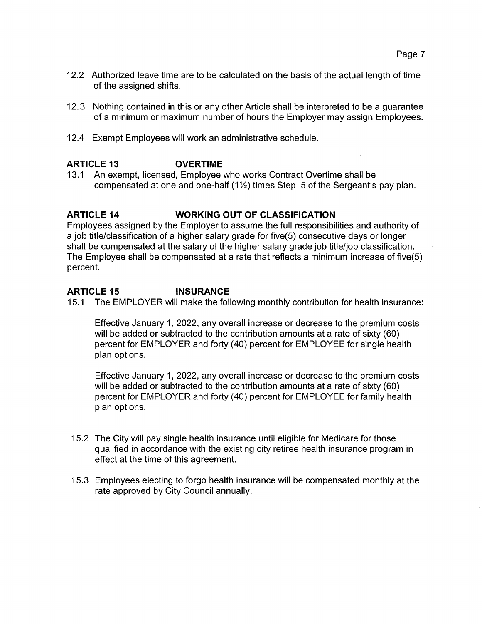- 12.2 Authorized leave time are to be calculated on the basis of the actual length of time of the assigned shifts.
- 12. 3 Nothing contained in this or any other Article shall be interpreted to be a guarantee of a minimum or maximum number of hours the Employer may assign Employees.
- 12.4 Exempt Employees will work an administrative schedule.

# **ARTICLE 13 OVERTIME**

13.1 An exempt, licensed, Employee who works Contract Overtime shall be compensated at one and one-half  $(1\frac{1}{2})$  times Step 5 of the Sergeant's pay plan.

### **ARTICLE 14 WORKING OUT OF CLASSIFICATION**

Employees assigned by the Employer to assume the full responsibilities and authority of a job title/classification of a higher salary grade for five(5) consecutive days or longer shall be compensated at the salary of the higher salary grade job title/job classification. The Employee shall be compensated at a rate that reflects a minimum increase of five(5) percent.

#### **ARTICLE 15 INSURANCE**

15.1 The EMPLOYER will make the following monthly contribution for health insurance:

Effective January 1, 2022, any overall increase or decrease to the premium costs will be added or subtracted to the contribution amounts at a rate of sixty (60) percent for EMPLOYER and forty (40) percent for EMPLOYEE for single health plan options.

Effective January 1, 2022, any overall increase or decrease to the premium costs will be added or subtracted to the contribution amounts at a rate of sixty (60) percent for EMPLOYER and forty (40) percent for EMPLOYEE for family health plan options.

- 15.2 The City will pay single health insurance until eligible for Medicare for those qualified in accordance with the existing city retiree health insurance program in effect at the time of this agreement.
- 15.3 Employees electing to forgo health insurance will be compensated monthly at the rate approved by City Council annually.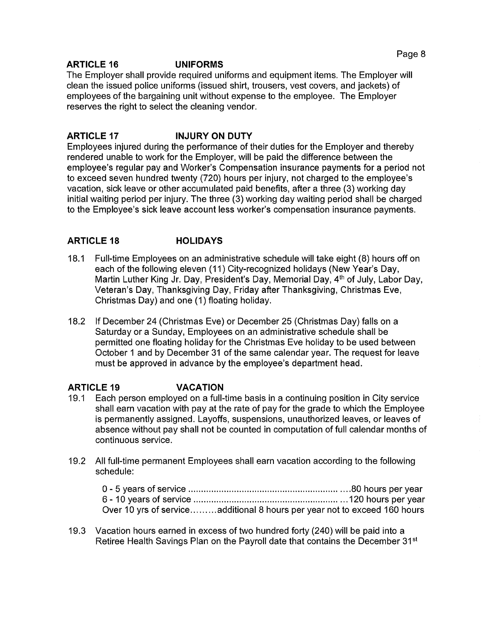### **ARTICLE 16 UNIFORMS**

The Employer shall provide required uniforms and equipment items. The Employer will clean the issued police uniforms (issued shirt, trousers, vest covers, and jackets) of employees of the bargaining unit without expense to the employee. The Employer reserves the right to select the cleaning vendor.

# **ARTICLE 17 INJURY ON DUTY**

Employees injured during the performance of their duties for the Employer and thereby rendered unable to work for the Employer, will be paid the difference between the employee's regular pay and Worker's Compensation insurance payments for a period not to exceed seven hundred twenty (720) hours per injury, not charged to the employee's vacation, sick leave or other accumulated paid benefits, after a three (3) working day initial waiting period per injury. The three (3) working day waiting period shall be charged to the Employee's sick leave account less worker's compensation insurance payments.

# **ARTICLE 18 HOLIDAYS**

- 18.1 Full-time Employees on an administrative schedule will take eight (8) hours off on each of the following eleven (11) City-recognized holidays (New Year's Day, Martin Luther King Jr. Day, President's Day, Memorial Day, 4<sup>th</sup> of July, Labor Day, Veteran's Day, Thanksgiving Day, Friday after Thanksgiving, Christmas Eve, Christmas Day) and one (1) floating holiday.
- 18.2 If December 24 (Christmas Eve) or December 25 (Christmas Day) falls on a Saturday or a Sunday, Employees on an administrative schedule shall be permitted one floating holiday for the Christmas Eve holiday to be used between October 1 and by December 31 of the same calendar year. The request for leave must be approved in advance by the employee's department head.

# **ARTICLE 19 VACATION**

- 19.1 Each person employed on a full-time basis in a continuing position in City service shall earn vacation with pay at the rate of pay for the grade to which the Employee is permanently assigned. Layoffs, suspensions, unauthorized leaves, or leaves of absence without pay shall not be counted in computation of full calendar months of continuous service.
- 19.2 All full-time permanent Employees shall earn vacation according to the following schedule:

| Over 10 yrs of serviceadditional 8 hours per year not to exceed 160 hours |  |
|---------------------------------------------------------------------------|--|

19.3 Vacation hours earned in excess of two hundred forty (240) will be paid into a Retiree Health Savings Plan on the Payroll date that contains the December 31<sup>st</sup>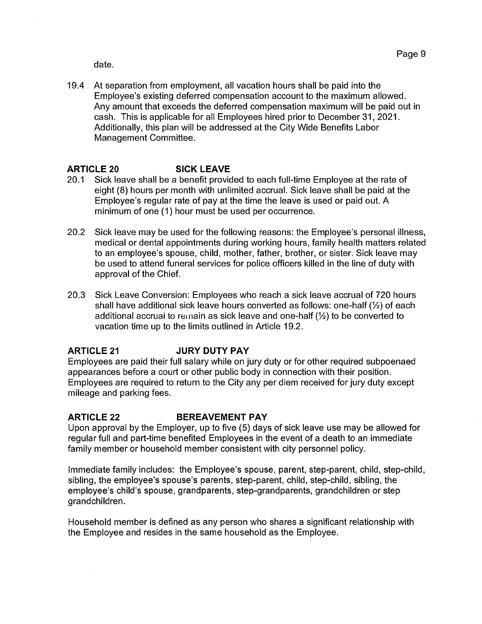date.

19.4 At separation from employment, all vacation hours shall be paid into the Employee's existing deferred compensation account to the maximum allowed. Any amount that exceeds the deferred compensation maximum will be paid out in cash. This is applicable for all Employees hired prior to December 31, 2021. Additionally, this plan will be addressed at the City Wide Benefits Labor Management Committee.

# **ARTICLE 20 SICK LEAVE**

- 20.1 Sick leave shall be a benefit provided to each full-time Employee at the rate of eight (8) hours per month with unlimited accrual. Sick leave shall be paid at the Employee's regular rate of pay at the time the leave is used or paid out. A minimum of one (1) hour must be used per occurrence.
- 20.2 Sick leave may be used for the following reasons: the Employee's personal illness, medical or dental appointments during working hours, family health matters related to an employee's spouse, child, mother, father, brother, or sister. Sick leave may be used to attend funeral services for police officers killed in the line of duty with approval of the Chief.
- 20.3 Sick Leave Conversion: Employees who reach a sick leave accrual of 720 hours shall have additional sick leave hours converted as follows: one-half  $\mathcal{V}_2$ ) of each additional accrual to remain as sick leave and one-half  $(\frac{1}{2})$  to be converted to vacation time up to the limits outlined in Article 19.2.

#### **ARTICLE 21 JURY DUTY PAY**

Employees are paid their full salary while on jury duty or for other required subpoenaed appearances before a court or other public body in connection with their position. Employees are required to return to the City any per diem received for jury duty except mileage and parking fees.

# **ARTICLE 22 BEREAVEMENT PAY**

Upon approval by the Employer, up to five (5) days of sick leave use may be allowed for regular full and part-time benefited Employees in the event of a death to an immediate family member or household member consistent with city personnel policy.

Immediate family includes: the Employee's spouse, parent, step-parent, child, step-child, sibling, the employee's spouse's parents, step-parent, child, step-child, sibling, the employee's child's spouse, grandparents, step-grandparents, grandchildren or step grandchildren.

Household member is defined as any person who shares a significant relationship with the Employee and resides in the same household as the Employee.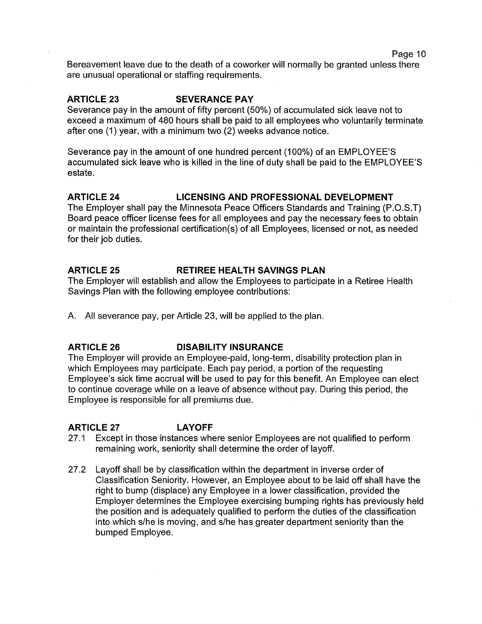Bereavement leave due to the death of a coworker will normally be granted unless there are unusual operational or staffing requirements.

#### **ARTICLE 23 SEVERANCE PAY**

Severance pay in the amount of fifty percent (50%) of accumulated sick leave not to exceed a maximum of 480 hours shall be paid to all employees who voluntarily terminate after one (1) year, with a minimum two (2) weeks advance notice.

Severance pay in the amount of one hundred percent (100%) of an EMPLOYEE'S accumulated sick leave who is killed in the line of duty shall be paid to the EMPLOYEE'S estate.

### **ARTICLE 24 LICENSING AND PROFESSIONAL DEVELOPMENT**

The Employer shall pay the Minnesota Peace Officers Standards and Training (P.O.S.T) Board peace officer license fees for all employees and pay the necessary fees to obtain or maintain the professional certification(s) of all Employees, licensed or not, as needed for their job duties.

### **ARTICLE 25 RETIREE HEALTH SAVINGS PLAN**

The Employer will establish and allow the Employees to participate in a Retiree Health Savings Plan with the following employee contributions:

A. All severance pay, per Article 23, will be applied to the plan.

#### **ARTICLE 26 DISABILITY INSURANCE**

The Employer will provide an Employee-paid, long-term, disability protection plan in which Employees may participate. Each pay period, a portion of the requesting Employee's sick time accrual will be used to pay for this benefit. An Employee can elect to continue coverage while on a leave of absence without pay. During this period, the Employee is responsible for all premiums due.

# **ARTICLE 27 LAYOFF**

- 27 .1 Except in those instances where senior Employees are not qualified to perform remaining work, seniority shall determine the order of layoff.
- 27 .2 Layoff shall be by classification within the department in inverse order of Classification Seniority. However, an Employee about to be laid off shall have the right to bump (displace) any Employee in a lower classification, provided the Employer determines the Employee exercising bumping rights has previously held the position and is adequately qualified to perform the duties of the classification into which s/he is moving, and s/he has greater department seniority than the bumped Employee.

Page 10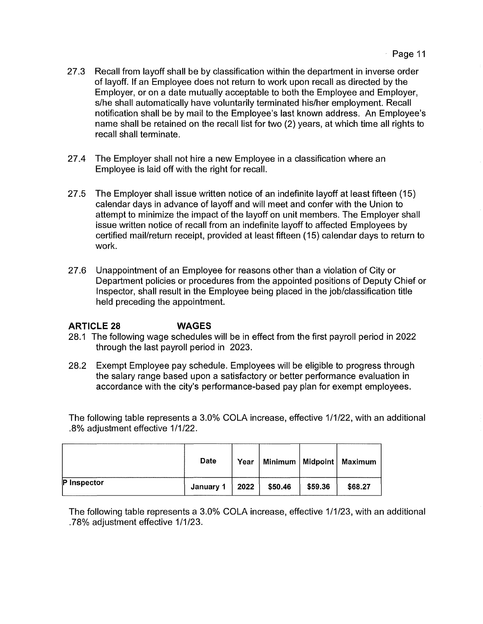- 27 .3 Recall from layoff shall be by classification within the department in inverse order of layoff. If an Employee does not return to work upon recall as directed by the Employer, or on a date mutually acceptable to both the Employee and Employer, s/he shall automatically have voluntarily terminated his/her employment. Recall notification shall be by mail to the Employee's last known address. An Employee's name shall be retained on the recall list for two (2) years, at which time all rights to recall shall terminate.
- 27.4 The Employer shall not hire a new Employee in a classification where an Employee is laid off with the right for recall.
- 27 .5 The Employer shall issue written notice of an indefinite layoff at least fifteen ( 15) calendar days in advance of layoff and will meet and confer with the Union to attempt to minimize the impact of the layoff on unit members. The Employer shall issue written notice of recall from an indefinite layoff to affected Employees by certified mail/return receipt, provided at least fifteen (15) calendar days to return to work.
- 27.6 Unappointment of an Employee for reasons other than a violation of City or Department policies or procedures from the appointed positions of Deputy Chief or Inspector, shall result in the Employee being placed in the job/classification title held preceding the appointment.

# **ARTICLE 28 WAGES**

- 28.1 The following wage schedules will be in effect from the first payroll period in 2022 through the last payroll period in 2023.
- 28.2 Exempt Employee pay schedule. Employees will be eligible to progress through the salary range based upon a satisfactory or better performance evaluation in accordance with the city's performance-based pay plan for exempt employees.

The following table represents a 3.0% COLA increase, effective 1/1/22, with an additional .8% adjustment effective 1/1/22.

|             | <b>Date</b>      | Year |         |         | Minimum   Midpoint   Maximum |
|-------------|------------------|------|---------|---------|------------------------------|
| P Inspector | January 1   2022 |      | \$50.46 | \$59.36 | \$68.27                      |

The following table represents a 3.0% COLA increase, effective 1/1/23, with an additional .78% adjustment effective 1/1/23.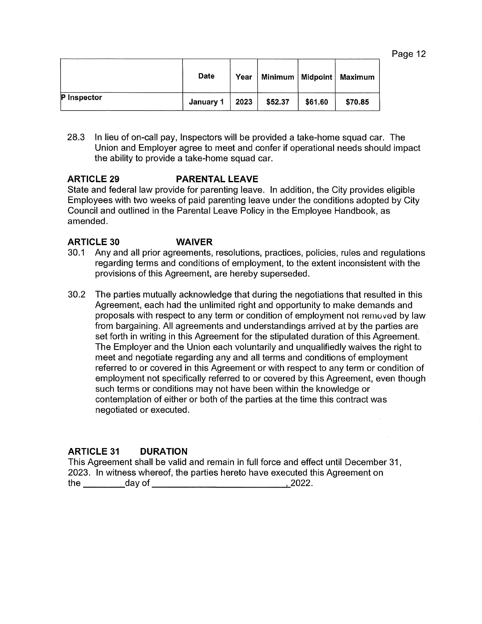| aae |  |  |
|-----|--|--|
|-----|--|--|

|                    | <b>Date</b> | Year |         |         | Minimum   Midpoint   Maximum |
|--------------------|-------------|------|---------|---------|------------------------------|
| <b>P</b> Inspector | January 1   | 2023 | \$52.37 | \$61.60 | \$70.85                      |

28.3 In lieu of on-call pay, Inspectors will be provided a take-home squad car. The Union and Employer agree to meet and confer if operational needs should impact the ability to provide a take-home squad car.

# **ARTICLE 29 PARENTAL LEAVE**

State and federal law provide for parenting leave. In addition, the City provides eligible Employees with two weeks of paid parenting leave under the conditions adopted by City Council and outlined in the Parental Leave Policy in the Employee Handbook, as amended.

### **ARTICLE 30 WAIVER**

- 30.1 Any and all prior agreements, resolutions, practices, policies, rules and regulations regarding terms and conditions of employment, to the extent inconsistent with the provisions of this Agreement, are hereby superseded.
- 30.2 The parties mutually acknowledge that during the negotiations that resulted in this Agreement, each had the unlimited right and opportunity to make demands and proposals with respect to any term or condition of employment not remuved by law from bargaining. All agreements and understandings arrived at by the parties are set forth in writing in this Agreement for the stipulated duration of this Agreement. The Employer and the Union each voluntarily and unqualifiedly waives the right to meet and negotiate regarding any and all terms and conditions of employment referred to or covered in this Agreement or with respect to any term or condition of employment not specifically referred to or covered by this Agreement, even though such terms or conditions may not have been within the knowledge or contemplation of either or both of the parties at the time this contract was negotiated or executed.

# **ARTICLE 31 DURATION**

This Agreement shall be valid and remain in full force and effect until December 31, 2023. In witness whereof, the parties hereto have executed this Agreement on the \_\_\_ day of \_\_\_\_\_\_\_\_\_\_\_ 2022.